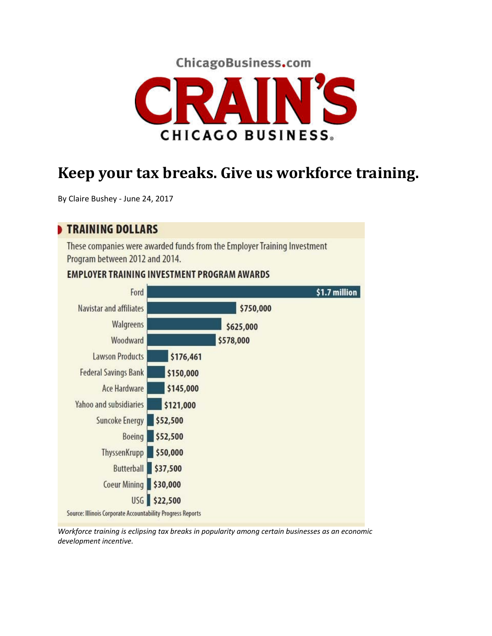



## **Keep your tax breaks. Give us workforce training.**

By Claire Bushey ‐ June 24, 2017

## **TRAINING DOLLARS**

These companies were awarded funds from the Employer Training Investment Program between 2012 and 2014.

## **EMPLOYER TRAINING INVESTMENT PROGRAM AWARDS**



*Workforce training is eclipsing tax breaks in popularity among certain businesses as an economic development incentive.*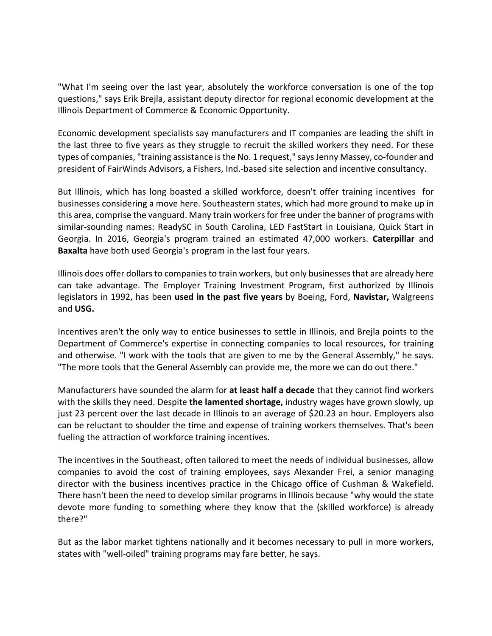"What I'm seeing over the last year, absolutely the workforce conversation is one of the top questions," says Erik Brejla, assistant deputy director for regional economic development at the Illinois Department of Commerce & Economic Opportunity.

Economic development specialists say manufacturers and IT companies are leading the shift in the last three to five years as they struggle to recruit the skilled workers they need. For these types of companies, "training assistance is the No. 1 request," says Jenny Massey, co-founder and president of FairWinds Advisors, a Fishers, Ind.‐based site selection and incentive consultancy.

But Illinois, which has long boasted a skilled workforce, doesn't offer training incentives for businesses considering a move here. Southeastern states, which had more ground to make up in this area, comprise the vanguard. Many train workers for free under the banner of programs with similar-sounding names: ReadySC in South Carolina, LED FastStart in Louisiana, Quick Start in Georgia. In 2016, Georgia's program trained an estimated 47,000 workers. **Caterpillar** and **Baxalta** have both used Georgia's program in the last four years.

Illinois does offer dollarsto companiesto train workers, but only businessesthat are already here can take advantage. The Employer Training Investment Program, first authorized by Illinois legislators in 1992, has been **used in the past five years** by Boeing, Ford, **Navistar,** Walgreens and **USG.**

Incentives aren't the only way to entice businesses to settle in Illinois, and Brejla points to the Department of Commerce's expertise in connecting companies to local resources, for training and otherwise. "I work with the tools that are given to me by the General Assembly," he says. "The more tools that the General Assembly can provide me, the more we can do out there."

Manufacturers have sounded the alarm for **at least half a decade** that they cannot find workers with the skills they need. Despite **the lamented shortage,** industry wages have grown slowly, up just 23 percent over the last decade in Illinois to an average of \$20.23 an hour. Employers also can be reluctant to shoulder the time and expense of training workers themselves. That's been fueling the attraction of workforce training incentives.

The incentives in the Southeast, often tailored to meet the needs of individual businesses, allow companies to avoid the cost of training employees, says Alexander Frei, a senior managing director with the business incentives practice in the Chicago office of Cushman & Wakefield. There hasn't been the need to develop similar programs in Illinois because "why would the state devote more funding to something where they know that the (skilled workforce) is already there?"

But as the labor market tightens nationally and it becomes necessary to pull in more workers, states with "well‐oiled" training programs may fare better, he says.